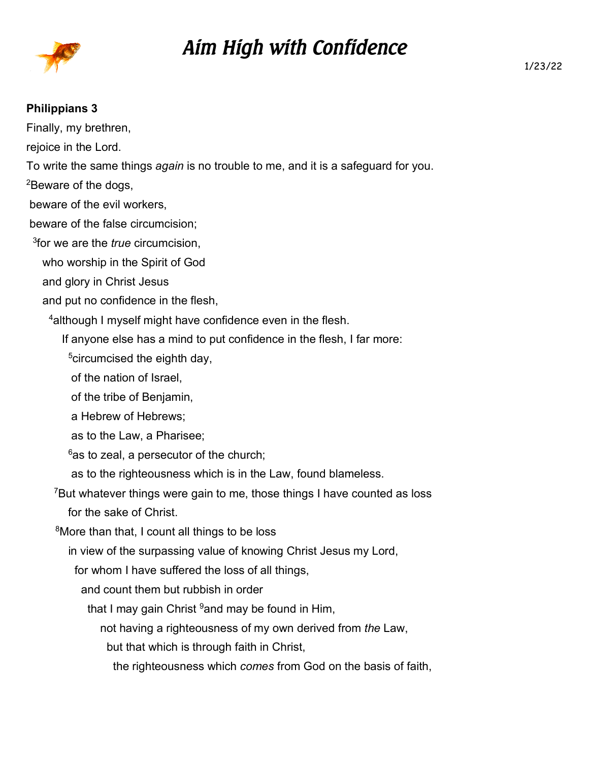

## *Aim High with Confidence*

## **Philippians 3**

Finally, my brethren, rejoice in the Lord. To write the same things *again* is no trouble to me, and it is a safeguard for you. <sup>2</sup>Beware of the dogs, beware of the evil workers, beware of the false circumcision; 3 for we are the *true* circumcision, who worship in the Spirit of God and glory in Christ Jesus and put no confidence in the flesh, <sup>4</sup> although I myself might have confidence even in the flesh. If anyone else has a mind to put confidence in the flesh, I far more: <sup>5</sup>circumcised the eighth day, of the nation of Israel, of the tribe of Benjamin, a Hebrew of Hebrews; as to the Law, a Pharisee;  $6$ as to zeal, a persecutor of the church; as to the righteousness which is in the Law, found blameless. <sup>7</sup>But whatever things were gain to me, those things I have counted as loss for the sake of Christ. <sup>8</sup>More than that, I count all things to be loss in view of the surpassing value of knowing Christ Jesus my Lord, for whom I have suffered the loss of all things, and count them but rubbish in order that I may gain Christ  $9$  and may be found in Him, not having a righteousness of my own derived from *the* Law, but that which is through faith in Christ,

the righteousness which *comes* from God on the basis of faith,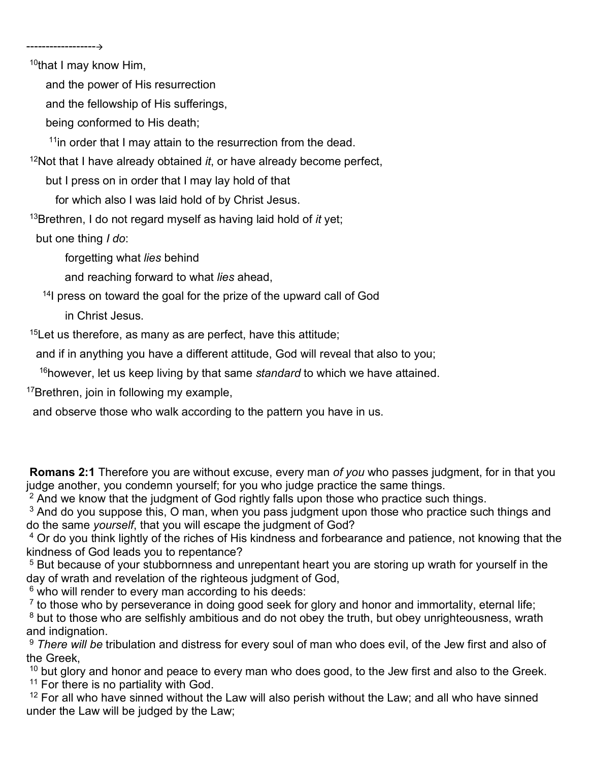<sup>10</sup>that I may know Him,

------------------

and the power of His resurrection

and the fellowship of His sufferings,

being conformed to His death;

 $11$ in order that I may attain to the resurrection from the dead.

<sup>12</sup>Not that I have already obtained *it*, or have already become perfect,

but I press on in order that I may lay hold of that

for which also I was laid hold of by Christ Jesus.

<sup>13</sup>Brethren, I do not regard myself as having laid hold of *it* yet;

but one thing *I do*:

forgetting what *lies* behind

and reaching forward to what *lies* ahead,

<sup>14</sup>I press on toward the goal for the prize of the upward call of God

in Christ Jesus.

 $15$ Let us therefore, as many as are perfect, have this attitude;

and if in anything you have a different attitude, God will reveal that also to you;

<sup>16</sup>however, let us keep living by that same *standard* to which we have attained.

<sup>17</sup>Brethren, join in following my example,

and observe those who walk according to the pattern you have in us.

 **Romans 2:1** Therefore you are without excuse, every man *of you* who passes judgment, for in that you judge another, you condemn yourself; for you who judge practice the same things.

 $^2$  And we know that the judgment of God rightly falls upon those who practice such things.

 $^3$  And do you suppose this, O man, when you pass judgment upon those who practice such things and do the same *yourself*, that you will escape the judgment of God?

4 Or do you think lightly of the riches of His kindness and forbearance and patience, not knowing that the kindness of God leads you to repentance?

5 But because of your stubbornness and unrepentant heart you are storing up wrath for yourself in the day of wrath and revelation of the righteous judgment of God,

6 who will render to every man according to his deeds:

 $<sup>7</sup>$  to those who by perseverance in doing good seek for glory and honor and immortality, eternal life;</sup>

 $8$  but to those who are selfishly ambitious and do not obey the truth, but obey unrighteousness, wrath and indignation.

<sup>9</sup> *There will be* tribulation and distress for every soul of man who does evil, of the Jew first and also of the Greek,

<sup>10</sup> but glory and honor and peace to every man who does good, to the Jew first and also to the Greek. <sup>11</sup> For there is no partiality with God.

 $12$  For all who have sinned without the Law will also perish without the Law; and all who have sinned under the Law will be judged by the Law;